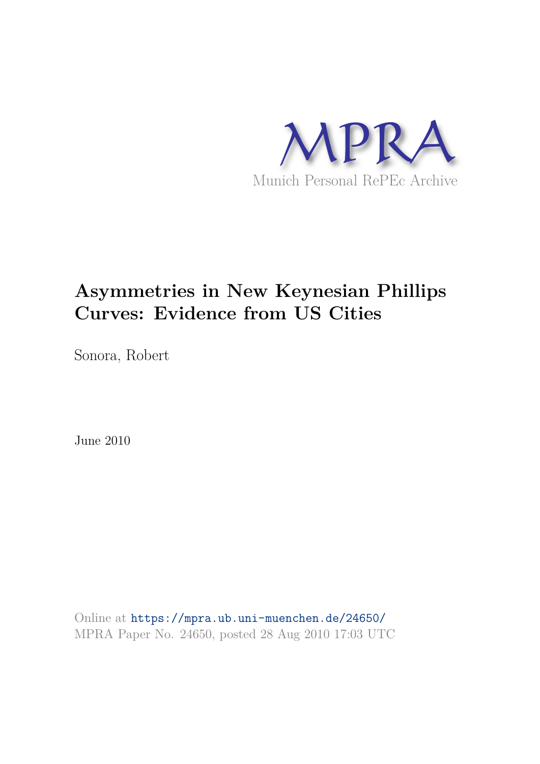

# **Asymmetries in New Keynesian Phillips Curves: Evidence from US Cities**

Sonora, Robert

June 2010

Online at https://mpra.ub.uni-muenchen.de/24650/ MPRA Paper No. 24650, posted 28 Aug 2010 17:03 UTC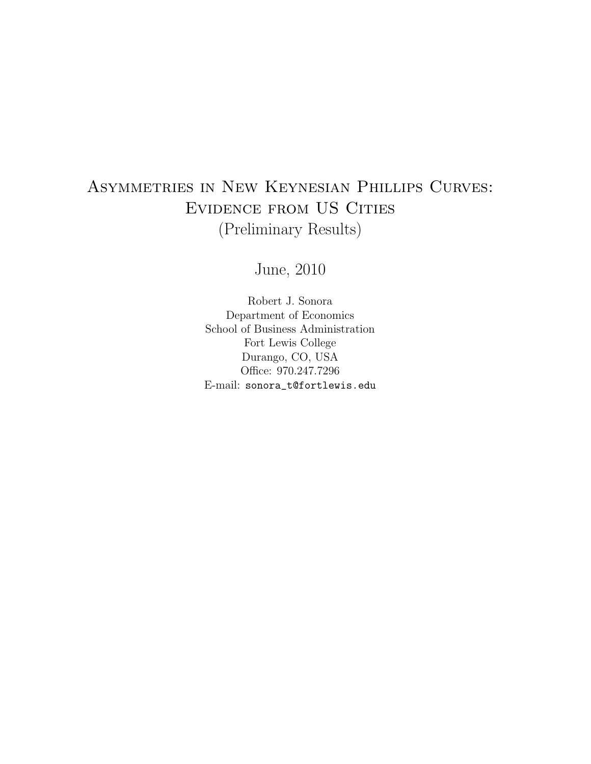## Asymmetries in New Keynesian Phillips Curves: Evidence from US Cities (Preliminary Results)

June, 2010

Robert J. Sonora Department of Economics School of Business Administration Fort Lewis College Durango, CO, USA Office: 970.247.7296 E-mail: sonora\_t@fortlewis.edu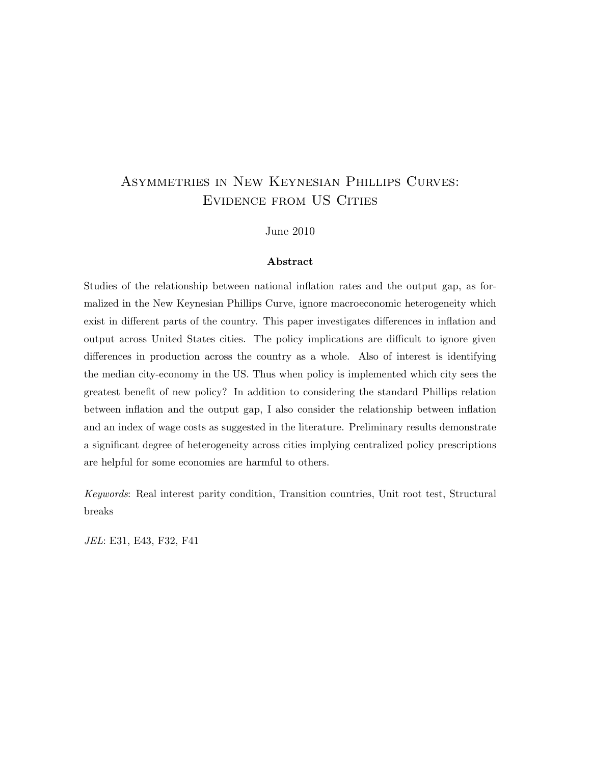## Asymmetries in New Keynesian Phillips Curves: Evidence from US Cities

June 2010

#### Abstract

Studies of the relationship between national inflation rates and the output gap, as formalized in the New Keynesian Phillips Curve, ignore macroeconomic heterogeneity which exist in different parts of the country. This paper investigates differences in inflation and output across United States cities. The policy implications are difficult to ignore given differences in production across the country as a whole. Also of interest is identifying the median city-economy in the US. Thus when policy is implemented which city sees the greatest benefit of new policy? In addition to considering the standard Phillips relation between inflation and the output gap, I also consider the relationship between inflation and an index of wage costs as suggested in the literature. Preliminary results demonstrate a significant degree of heterogeneity across cities implying centralized policy prescriptions are helpful for some economies are harmful to others.

Keywords: Real interest parity condition, Transition countries, Unit root test, Structural breaks

JEL: E31, E43, F32, F41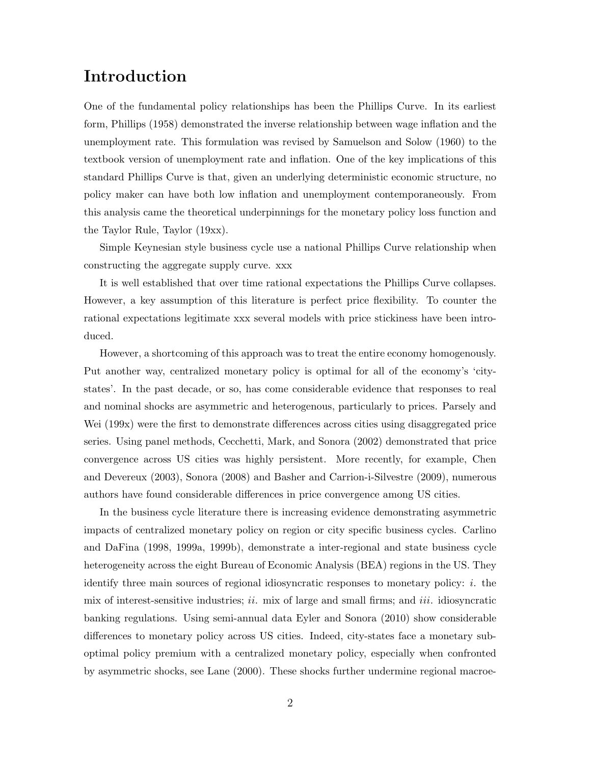## Introduction

One of the fundamental policy relationships has been the Phillips Curve. In its earliest form, Phillips (1958) demonstrated the inverse relationship between wage inflation and the unemployment rate. This formulation was revised by Samuelson and Solow (1960) to the textbook version of unemployment rate and inflation. One of the key implications of this standard Phillips Curve is that, given an underlying deterministic economic structure, no policy maker can have both low inflation and unemployment contemporaneously. From this analysis came the theoretical underpinnings for the monetary policy loss function and the Taylor Rule, Taylor (19xx).

Simple Keynesian style business cycle use a national Phillips Curve relationship when constructing the aggregate supply curve. xxx

It is well established that over time rational expectations the Phillips Curve collapses. However, a key assumption of this literature is perfect price flexibility. To counter the rational expectations legitimate xxx several models with price stickiness have been introduced.

However, a shortcoming of this approach was to treat the entire economy homogenously. Put another way, centralized monetary policy is optimal for all of the economy's 'citystates'. In the past decade, or so, has come considerable evidence that responses to real and nominal shocks are asymmetric and heterogenous, particularly to prices. Parsely and Wei (199x) were the first to demonstrate differences across cities using disaggregated price series. Using panel methods, Cecchetti, Mark, and Sonora (2002) demonstrated that price convergence across US cities was highly persistent. More recently, for example, Chen and Devereux (2003), Sonora (2008) and Basher and Carrion-i-Silvestre (2009), numerous authors have found considerable differences in price convergence among US cities.

In the business cycle literature there is increasing evidence demonstrating asymmetric impacts of centralized monetary policy on region or city specific business cycles. Carlino and DaFina (1998, 1999a, 1999b), demonstrate a inter-regional and state business cycle heterogeneity across the eight Bureau of Economic Analysis (BEA) regions in the US. They identify three main sources of regional idiosyncratic responses to monetary policy:  $i$ . the mix of interest-sensitive industries;  $ii$ . mix of large and small firms; and  $iii$ . idiosyncratic banking regulations. Using semi-annual data Eyler and Sonora (2010) show considerable differences to monetary policy across US cities. Indeed, city-states face a monetary suboptimal policy premium with a centralized monetary policy, especially when confronted by asymmetric shocks, see Lane (2000). These shocks further undermine regional macroe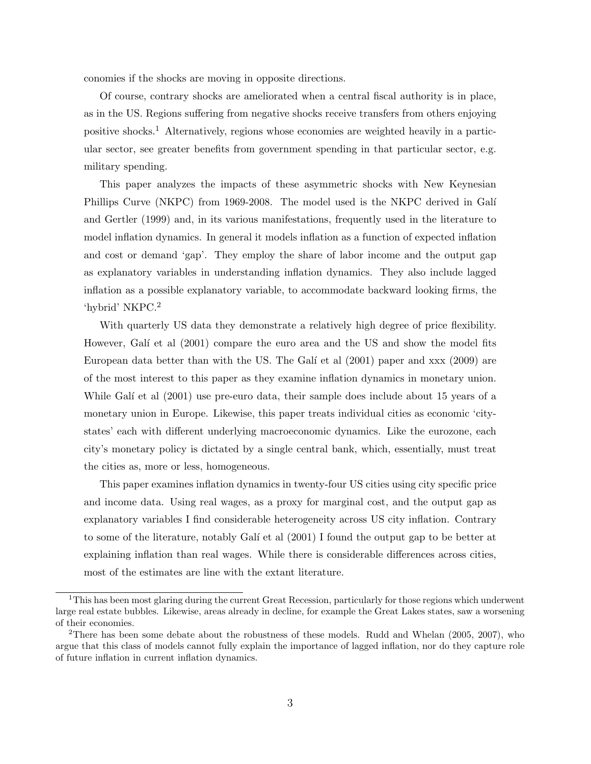conomies if the shocks are moving in opposite directions.

Of course, contrary shocks are ameliorated when a central fiscal authority is in place, as in the US. Regions suffering from negative shocks receive transfers from others enjoying positive shocks.<sup>1</sup> Alternatively, regions whose economies are weighted heavily in a particular sector, see greater benefits from government spending in that particular sector, e.g. military spending.

This paper analyzes the impacts of these asymmetric shocks with New Keynesian Phillips Curve (NKPC) from 1969-2008. The model used is the NKPC derived in Galí and Gertler (1999) and, in its various manifestations, frequently used in the literature to model inflation dynamics. In general it models inflation as a function of expected inflation and cost or demand 'gap'. They employ the share of labor income and the output gap as explanatory variables in understanding inflation dynamics. They also include lagged inflation as a possible explanatory variable, to accommodate backward looking firms, the 'hybrid' NKPC.<sup>2</sup>

With quarterly US data they demonstrate a relatively high degree of price flexibility. However, Galí et al (2001) compare the euro area and the US and show the model fits European data better than with the US. The Galí et al  $(2001)$  paper and xxx  $(2009)$  are of the most interest to this paper as they examine inflation dynamics in monetary union. While Galí et al  $(2001)$  use pre-euro data, their sample does include about 15 years of a monetary union in Europe. Likewise, this paper treats individual cities as economic 'citystates' each with different underlying macroeconomic dynamics. Like the eurozone, each city's monetary policy is dictated by a single central bank, which, essentially, must treat the cities as, more or less, homogeneous.

This paper examines inflation dynamics in twenty-four US cities using city specific price and income data. Using real wages, as a proxy for marginal cost, and the output gap as explanatory variables I find considerable heterogeneity across US city inflation. Contrary to some of the literature, notably Galí et al (2001) I found the output gap to be better at explaining inflation than real wages. While there is considerable differences across cities, most of the estimates are line with the extant literature.

<sup>&</sup>lt;sup>1</sup>This has been most glaring during the current Great Recession, particularly for those regions which underwent large real estate bubbles. Likewise, areas already in decline, for example the Great Lakes states, saw a worsening of their economies.

<sup>&</sup>lt;sup>2</sup>There has been some debate about the robustness of these models. Rudd and Whelan  $(2005, 2007)$ , who argue that this class of models cannot fully explain the importance of lagged inflation, nor do they capture role of future inflation in current inflation dynamics.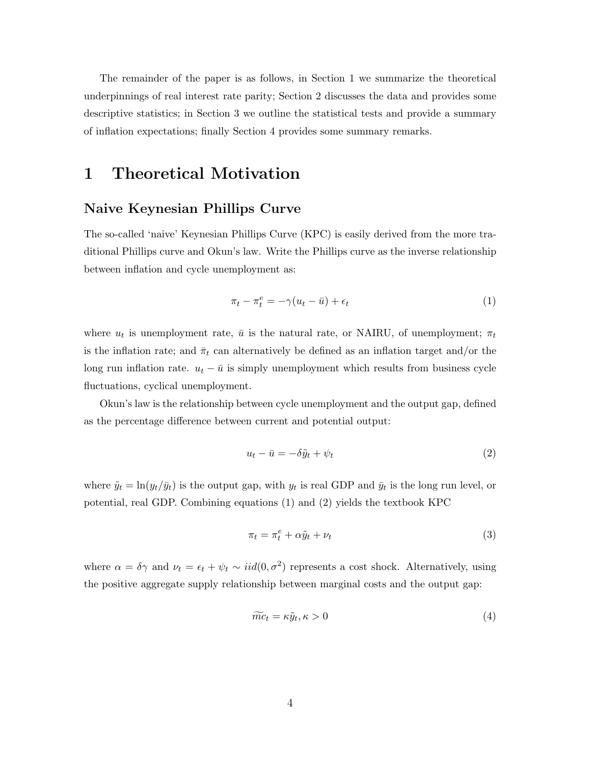The remainder of the paper is as follows, in Section 1 we summarize the theoretical underpinnings of real interest rate parity; Section 2 discusses the data and provides some descriptive statistics; in Section 3 we outline the statistical tests and provide a summary of inflation expectations; finally Section 4 provides some summary remarks.

### 1 Theoretical Motivation

#### Naive Keynesian Phillips Curve

The so-called 'naive' Keynesian Phillips Curve (KPC) is easily derived from the more traditional Phillips curve and Okun's law. Write the Phillips curve as the inverse relationship between inflation and cycle unemployment as:

$$
\pi_t - \pi_t^e = -\gamma (u_t - \bar{u}) + \epsilon_t \tag{1}
$$

where  $u_t$  is unemployment rate,  $\bar{u}$  is the natural rate, or NAIRU, of unemployment;  $\pi_t$ is the inflation rate; and  $\bar{\pi}_t$  can alternatively be defined as an inflation target and/or the long run inflation rate.  $u_t - \bar{u}$  is simply unemployment which results from business cycle fluctuations, cyclical unemployment.

Okun's law is the relationship between cycle unemployment and the output gap, defined as the percentage difference between current and potential output:

$$
u_t - \bar{u} = -\delta \tilde{y}_t + \psi_t \tag{2}
$$

where  $\tilde{y}_t = \ln(y_t/\bar{y}_t)$  is the output gap, with  $y_t$  is real GDP and  $\bar{y}_t$  is the long run level, or potential, real GDP. Combining equations (1) and (2) yields the textbook KPC

$$
\pi_t = \pi_t^e + \alpha \tilde{y}_t + \nu_t \tag{3}
$$

where  $\alpha = \delta \gamma$  and  $\nu_t = \epsilon_t + \psi_t \sim \text{iid}(0, \sigma^2)$  represents a cost shock. Alternatively, using the positive aggregate supply relationship between marginal costs and the output gap:

$$
\widetilde{mc}_t = \kappa \widetilde{y}_t, \kappa > 0 \tag{4}
$$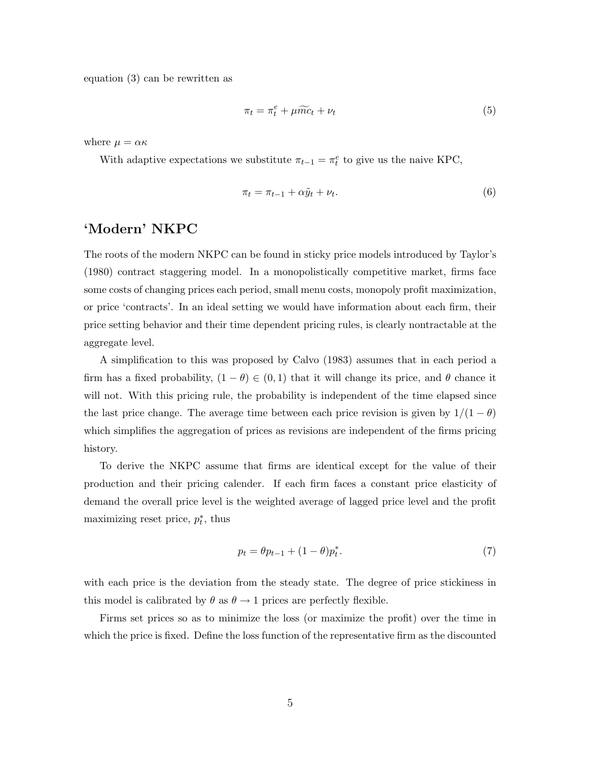equation (3) can be rewritten as

$$
\pi_t = \pi_t^e + \mu \widetilde{m} c_t + \nu_t \tag{5}
$$

where  $\mu = \alpha \kappa$ 

With adaptive expectations we substitute  $\pi_{t-1} = \pi_t^e$  to give us the naive KPC,

$$
\pi_t = \pi_{t-1} + \alpha \tilde{y}_t + \nu_t. \tag{6}
$$

#### 'Modern' NKPC

The roots of the modern NKPC can be found in sticky price models introduced by Taylor's (1980) contract staggering model. In a monopolistically competitive market, firms face some costs of changing prices each period, small menu costs, monopoly profit maximization, or price 'contracts'. In an ideal setting we would have information about each firm, their price setting behavior and their time dependent pricing rules, is clearly nontractable at the aggregate level.

A simplification to this was proposed by Calvo (1983) assumes that in each period a firm has a fixed probability,  $(1 - \theta) \in (0, 1)$  that it will change its price, and  $\theta$  chance it will not. With this pricing rule, the probability is independent of the time elapsed since the last price change. The average time between each price revision is given by  $1/(1 - \theta)$ which simplifies the aggregation of prices as revisions are independent of the firms pricing history.

To derive the NKPC assume that firms are identical except for the value of their production and their pricing calender. If each firm faces a constant price elasticity of demand the overall price level is the weighted average of lagged price level and the profit maximizing reset price,  $p_t^*$ , thus

$$
p_t = \theta p_{t-1} + (1 - \theta) p_t^*.
$$
\n(7)

with each price is the deviation from the steady state. The degree of price stickiness in this model is calibrated by  $\theta$  as  $\theta \rightarrow 1$  prices are perfectly flexible.

Firms set prices so as to minimize the loss (or maximize the profit) over the time in which the price is fixed. Define the loss function of the representative firm as the discounted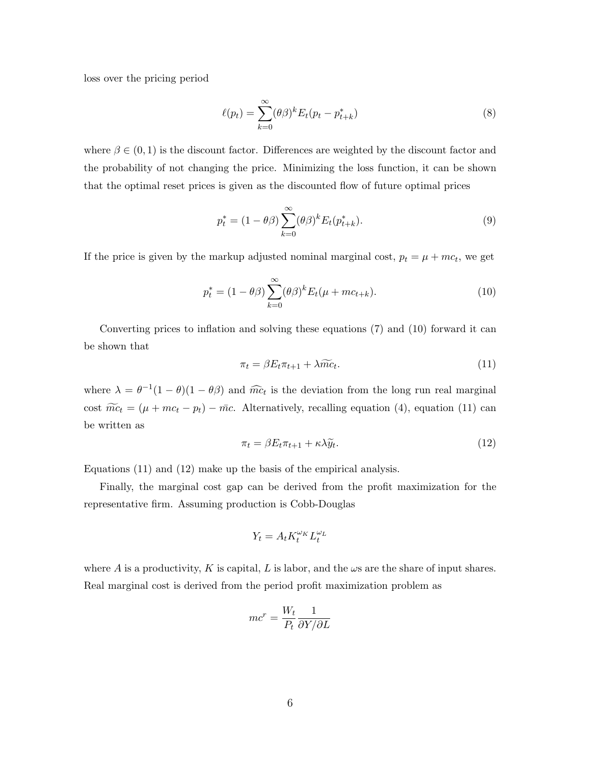loss over the pricing period

$$
\ell(p_t) = \sum_{k=0}^{\infty} (\theta \beta)^k E_t(p_t - p_{t+k}^*)
$$
\n(8)

where  $\beta \in (0, 1)$  is the discount factor. Differences are weighted by the discount factor and the probability of not changing the price. Minimizing the loss function, it can be shown that the optimal reset prices is given as the discounted flow of future optimal prices

$$
p_t^* = (1 - \theta \beta) \sum_{k=0}^{\infty} (\theta \beta)^k E_t(p_{t+k}^*).
$$
\n(9)

If the price is given by the markup adjusted nominal marginal cost,  $p_t = \mu + mc_t$ , we get

$$
p_t^* = (1 - \theta \beta) \sum_{k=0}^{\infty} (\theta \beta)^k E_t(\mu + mc_{t+k}).
$$
 (10)

Converting prices to inflation and solving these equations (7) and (10) forward it can be shown that

$$
\pi_t = \beta E_t \pi_{t+1} + \lambda \widetilde{mc}_t. \tag{11}
$$

where  $\lambda = \theta^{-1}(1-\theta)(1-\theta\beta)$  and  $\widehat{mc}_t$  is the deviation from the long run real marginal cost  $\widetilde{mc}_t = (\mu + mc_t - p_t) - \bar{mc}$ . Alternatively, recalling equation (4), equation (11) can be written as

$$
\pi_t = \beta E_t \pi_{t+1} + \kappa \lambda \widetilde{y}_t. \tag{12}
$$

Equations (11) and (12) make up the basis of the empirical analysis.

Finally, the marginal cost gap can be derived from the profit maximization for the representative firm. Assuming production is Cobb-Douglas

$$
Y_t = A_t K_t^{\omega_K} L_t^{\omega_L}
$$

where A is a productivity, K is capital, L is labor, and the  $\omega s$  are the share of input shares. Real marginal cost is derived from the period profit maximization problem as

$$
mc^r = \frac{W_t}{P_t} \frac{1}{\partial Y/\partial L}
$$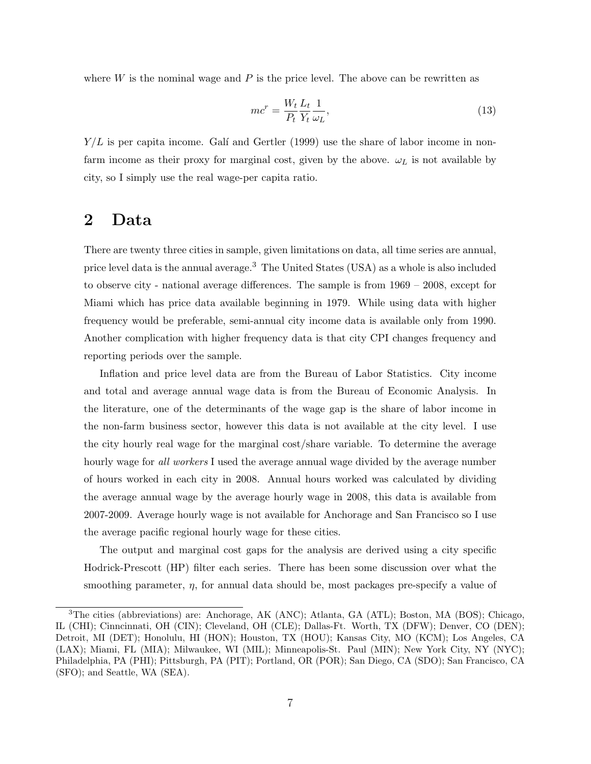where  $W$  is the nominal wage and  $P$  is the price level. The above can be rewritten as

$$
mc^r = \frac{W_t}{P_t} \frac{L_t}{Y_t} \frac{1}{\omega_L},\tag{13}
$$

 $Y/L$  is per capita income. Galí and Gertler (1999) use the share of labor income in nonfarm income as their proxy for marginal cost, given by the above.  $\omega_L$  is not available by city, so I simply use the real wage-per capita ratio.

#### 2 Data

There are twenty three cities in sample, given limitations on data, all time series are annual, price level data is the annual average.<sup>3</sup> The United States (USA) as a whole is also included to observe city - national average differences. The sample is from 1969 – 2008, except for Miami which has price data available beginning in 1979. While using data with higher frequency would be preferable, semi-annual city income data is available only from 1990. Another complication with higher frequency data is that city CPI changes frequency and reporting periods over the sample.

Inflation and price level data are from the Bureau of Labor Statistics. City income and total and average annual wage data is from the Bureau of Economic Analysis. In the literature, one of the determinants of the wage gap is the share of labor income in the non-farm business sector, however this data is not available at the city level. I use the city hourly real wage for the marginal cost/share variable. To determine the average hourly wage for all workers I used the average annual wage divided by the average number of hours worked in each city in 2008. Annual hours worked was calculated by dividing the average annual wage by the average hourly wage in 2008, this data is available from 2007-2009. Average hourly wage is not available for Anchorage and San Francisco so I use the average pacific regional hourly wage for these cities.

The output and marginal cost gaps for the analysis are derived using a city specific Hodrick-Prescott (HP) filter each series. There has been some discussion over what the smoothing parameter,  $\eta$ , for annual data should be, most packages pre-specify a value of

<sup>3</sup>The cities (abbreviations) are: Anchorage, AK (ANC); Atlanta, GA (ATL); Boston, MA (BOS); Chicago, IL (CHI); Cinncinnati, OH (CIN); Cleveland, OH (CLE); Dallas-Ft. Worth, TX (DFW); Denver, CO (DEN); Detroit, MI (DET); Honolulu, HI (HON); Houston, TX (HOU); Kansas City, MO (KCM); Los Angeles, CA (LAX); Miami, FL (MIA); Milwaukee, WI (MIL); Minneapolis-St. Paul (MIN); New York City, NY (NYC); Philadelphia, PA (PHI); Pittsburgh, PA (PIT); Portland, OR (POR); San Diego, CA (SDO); San Francisco, CA (SFO); and Seattle, WA (SEA).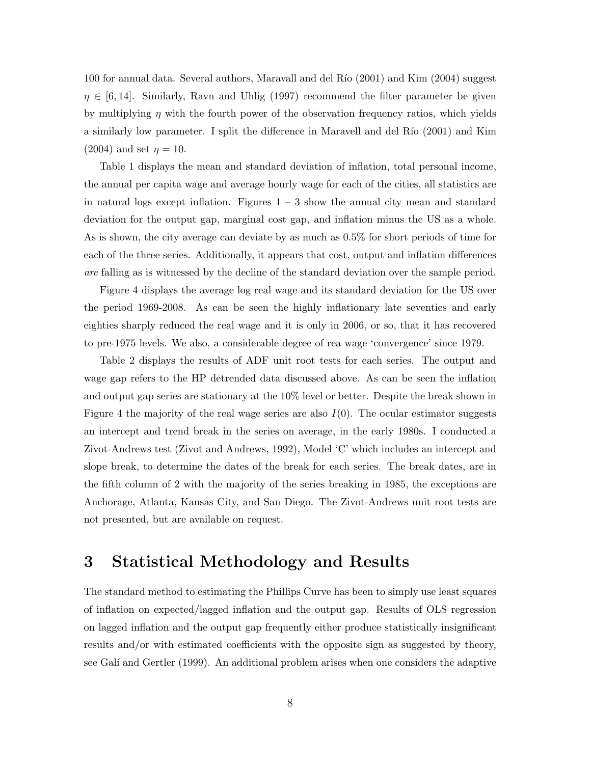100 for annual data. Several authors, Maravall and del Río  $(2001)$  and Kim  $(2004)$  suggest  $\eta \in [6, 14]$ . Similarly, Ravn and Uhlig (1997) recommend the filter parameter be given by multiplying  $\eta$  with the fourth power of the observation frequency ratios, which yields a similarly low parameter. I split the difference in Maravell and del Río (2001) and Kim (2004) and set  $\eta = 10$ .

Table 1 displays the mean and standard deviation of inflation, total personal income, the annual per capita wage and average hourly wage for each of the cities, all statistics are in natural logs except inflation. Figures  $1 - 3$  show the annual city mean and standard deviation for the output gap, marginal cost gap, and inflation minus the US as a whole. As is shown, the city average can deviate by as much as 0.5% for short periods of time for each of the three series. Additionally, it appears that cost, output and inflation differences are falling as is witnessed by the decline of the standard deviation over the sample period.

Figure 4 displays the average log real wage and its standard deviation for the US over the period 1969-2008. As can be seen the highly inflationary late seventies and early eighties sharply reduced the real wage and it is only in 2006, or so, that it has recovered to pre-1975 levels. We also, a considerable degree of rea wage 'convergence' since 1979.

Table 2 displays the results of ADF unit root tests for each series. The output and wage gap refers to the HP detrended data discussed above. As can be seen the inflation and output gap series are stationary at the 10% level or better. Despite the break shown in Figure 4 the majority of the real wage series are also  $I(0)$ . The ocular estimator suggests an intercept and trend break in the series on average, in the early 1980s. I conducted a Zivot-Andrews test (Zivot and Andrews, 1992), Model 'C' which includes an intercept and slope break, to determine the dates of the break for each series. The break dates, are in the fifth column of 2 with the majority of the series breaking in 1985, the exceptions are Anchorage, Atlanta, Kansas City, and San Diego. The Zivot-Andrews unit root tests are not presented, but are available on request.

#### 3 Statistical Methodology and Results

The standard method to estimating the Phillips Curve has been to simply use least squares of inflation on expected/lagged inflation and the output gap. Results of OLS regression on lagged inflation and the output gap frequently either produce statistically insignificant results and/or with estimated coefficients with the opposite sign as suggested by theory, see Galí and Gertler (1999). An additional problem arises when one considers the adaptive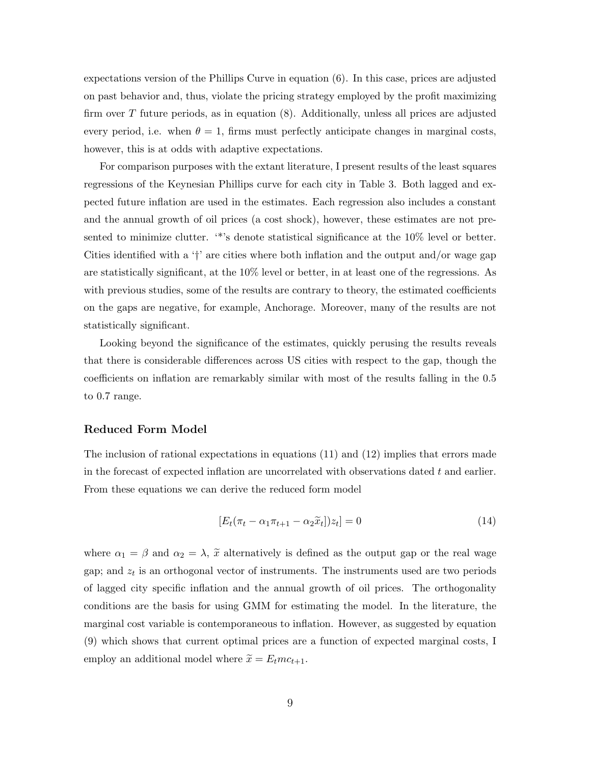expectations version of the Phillips Curve in equation (6). In this case, prices are adjusted on past behavior and, thus, violate the pricing strategy employed by the profit maximizing firm over T future periods, as in equation (8). Additionally, unless all prices are adjusted every period, i.e. when  $\theta = 1$ , firms must perfectly anticipate changes in marginal costs, however, this is at odds with adaptive expectations.

For comparison purposes with the extant literature, I present results of the least squares regressions of the Keynesian Phillips curve for each city in Table 3. Both lagged and expected future inflation are used in the estimates. Each regression also includes a constant and the annual growth of oil prices (a cost shock), however, these estimates are not presented to minimize clutter. '\*'s denote statistical significance at the  $10\%$  level or better. Cities identified with a '†' are cities where both inflation and the output and/or wage gap are statistically significant, at the 10% level or better, in at least one of the regressions. As with previous studies, some of the results are contrary to theory, the estimated coefficients on the gaps are negative, for example, Anchorage. Moreover, many of the results are not statistically significant.

Looking beyond the significance of the estimates, quickly perusing the results reveals that there is considerable differences across US cities with respect to the gap, though the coefficients on inflation are remarkably similar with most of the results falling in the 0.5 to 0.7 range.

#### Reduced Form Model

The inclusion of rational expectations in equations (11) and (12) implies that errors made in the forecast of expected inflation are uncorrelated with observations dated  $t$  and earlier. From these equations we can derive the reduced form model

$$
[E_t(\pi_t - \alpha_1 \pi_{t+1} - \alpha_2 \tilde{x}_t])z_t] = 0
$$
\n(14)

where  $\alpha_1 = \beta$  and  $\alpha_2 = \lambda$ ,  $\tilde{x}$  alternatively is defined as the output gap or the real wage gap; and  $z_t$  is an orthogonal vector of instruments. The instruments used are two periods of lagged city specific inflation and the annual growth of oil prices. The orthogonality conditions are the basis for using GMM for estimating the model. In the literature, the marginal cost variable is contemporaneous to inflation. However, as suggested by equation (9) which shows that current optimal prices are a function of expected marginal costs, I employ an additional model where  $\tilde{x} = E_t m c_{t+1}$ .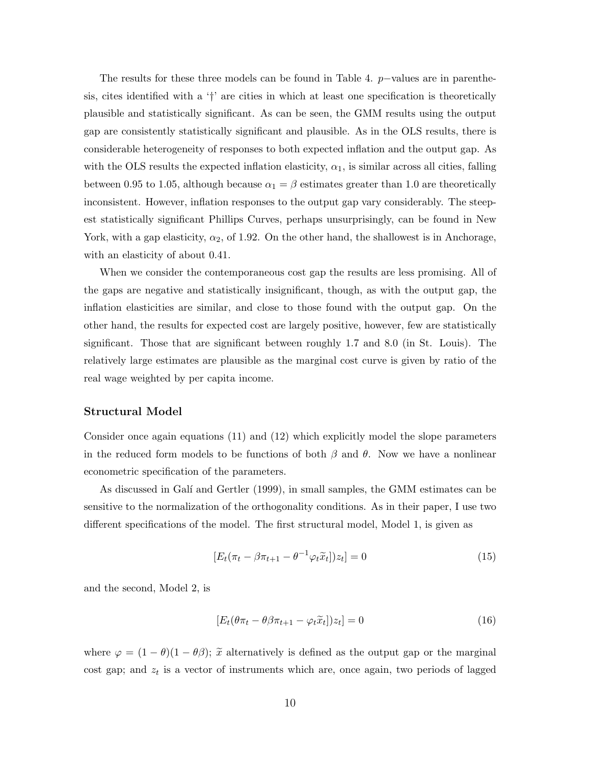The results for these three models can be found in Table 4. p−values are in parenthesis, cites identified with a '†' are cities in which at least one specification is theoretically plausible and statistically significant. As can be seen, the GMM results using the output gap are consistently statistically significant and plausible. As in the OLS results, there is considerable heterogeneity of responses to both expected inflation and the output gap. As with the OLS results the expected inflation elasticity,  $\alpha_1$ , is similar across all cities, falling between 0.95 to 1.05, although because  $\alpha_1 = \beta$  estimates greater than 1.0 are theoretically inconsistent. However, inflation responses to the output gap vary considerably. The steepest statistically significant Phillips Curves, perhaps unsurprisingly, can be found in New York, with a gap elasticity,  $\alpha_2$ , of 1.92. On the other hand, the shallowest is in Anchorage, with an elasticity of about 0.41.

When we consider the contemporaneous cost gap the results are less promising. All of the gaps are negative and statistically insignificant, though, as with the output gap, the inflation elasticities are similar, and close to those found with the output gap. On the other hand, the results for expected cost are largely positive, however, few are statistically significant. Those that are significant between roughly 1.7 and 8.0 (in St. Louis). The relatively large estimates are plausible as the marginal cost curve is given by ratio of the real wage weighted by per capita income.

#### Structural Model

Consider once again equations (11) and (12) which explicitly model the slope parameters in the reduced form models to be functions of both  $\beta$  and  $\theta$ . Now we have a nonlinear econometric specification of the parameters.

As discussed in Galí and Gertler (1999), in small samples, the GMM estimates can be sensitive to the normalization of the orthogonality conditions. As in their paper, I use two different specifications of the model. The first structural model, Model 1, is given as

$$
[E_t(\pi_t - \beta \pi_{t+1} - \theta^{-1} \varphi_t \tilde{x}_t])z_t] = 0
$$
\n(15)

and the second, Model 2, is

$$
[E_t(\theta \pi_t - \theta \beta \pi_{t+1} - \varphi_t \tilde{x}_t])z_t] = 0
$$
\n(16)

where  $\varphi = (1 - \theta)(1 - \theta\beta); \tilde{x}$  alternatively is defined as the output gap or the marginal cost gap; and  $z_t$  is a vector of instruments which are, once again, two periods of lagged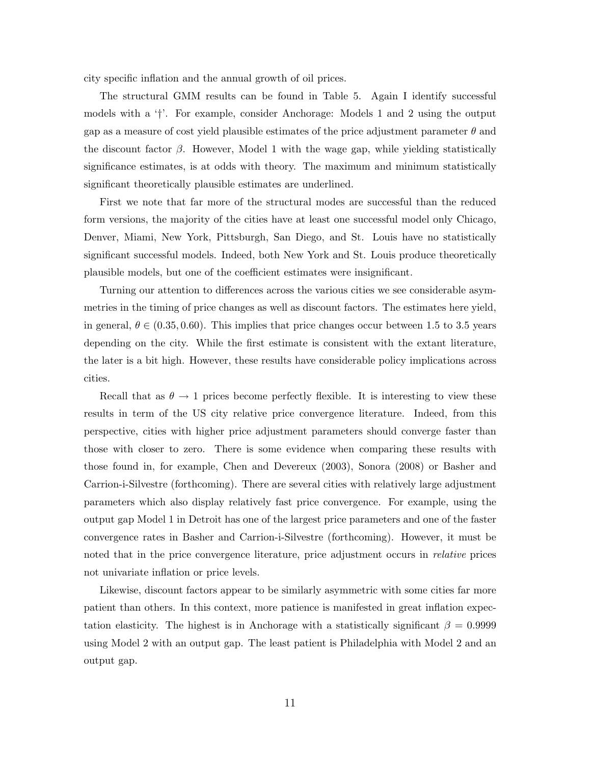city specific inflation and the annual growth of oil prices.

The structural GMM results can be found in Table 5. Again I identify successful models with a '†'. For example, consider Anchorage: Models 1 and 2 using the output gap as a measure of cost yield plausible estimates of the price adjustment parameter  $\theta$  and the discount factor  $\beta$ . However, Model 1 with the wage gap, while yielding statistically significance estimates, is at odds with theory. The maximum and minimum statistically significant theoretically plausible estimates are underlined.

First we note that far more of the structural modes are successful than the reduced form versions, the majority of the cities have at least one successful model only Chicago, Denver, Miami, New York, Pittsburgh, San Diego, and St. Louis have no statistically significant successful models. Indeed, both New York and St. Louis produce theoretically plausible models, but one of the coefficient estimates were insignificant.

Turning our attention to differences across the various cities we see considerable asymmetries in the timing of price changes as well as discount factors. The estimates here yield, in general,  $\theta \in (0.35, 0.60)$ . This implies that price changes occur between 1.5 to 3.5 years depending on the city. While the first estimate is consistent with the extant literature, the later is a bit high. However, these results have considerable policy implications across cities.

Recall that as  $\theta \to 1$  prices become perfectly flexible. It is interesting to view these results in term of the US city relative price convergence literature. Indeed, from this perspective, cities with higher price adjustment parameters should converge faster than those with closer to zero. There is some evidence when comparing these results with those found in, for example, Chen and Devereux (2003), Sonora (2008) or Basher and Carrion-i-Silvestre (forthcoming). There are several cities with relatively large adjustment parameters which also display relatively fast price convergence. For example, using the output gap Model 1 in Detroit has one of the largest price parameters and one of the faster convergence rates in Basher and Carrion-i-Silvestre (forthcoming). However, it must be noted that in the price convergence literature, price adjustment occurs in relative prices not univariate inflation or price levels.

Likewise, discount factors appear to be similarly asymmetric with some cities far more patient than others. In this context, more patience is manifested in great inflation expectation elasticity. The highest is in Anchorage with a statistically significant  $\beta = 0.9999$ using Model 2 with an output gap. The least patient is Philadelphia with Model 2 and an output gap.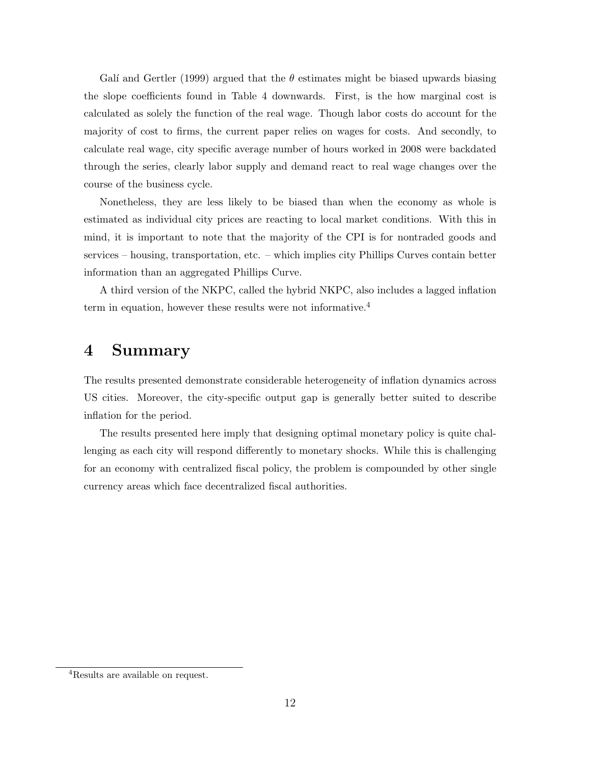Galí and Gertler (1999) argued that the  $\theta$  estimates might be biased upwards biasing the slope coefficients found in Table 4 downwards. First, is the how marginal cost is calculated as solely the function of the real wage. Though labor costs do account for the majority of cost to firms, the current paper relies on wages for costs. And secondly, to calculate real wage, city specific average number of hours worked in 2008 were backdated through the series, clearly labor supply and demand react to real wage changes over the course of the business cycle.

Nonetheless, they are less likely to be biased than when the economy as whole is estimated as individual city prices are reacting to local market conditions. With this in mind, it is important to note that the majority of the CPI is for nontraded goods and services – housing, transportation, etc. – which implies city Phillips Curves contain better information than an aggregated Phillips Curve.

A third version of the NKPC, called the hybrid NKPC, also includes a lagged inflation term in equation, however these results were not informative.<sup>4</sup>

## 4 Summary

The results presented demonstrate considerable heterogeneity of inflation dynamics across US cities. Moreover, the city-specific output gap is generally better suited to describe inflation for the period.

The results presented here imply that designing optimal monetary policy is quite challenging as each city will respond differently to monetary shocks. While this is challenging for an economy with centralized fiscal policy, the problem is compounded by other single currency areas which face decentralized fiscal authorities.

<sup>4</sup>Results are available on request.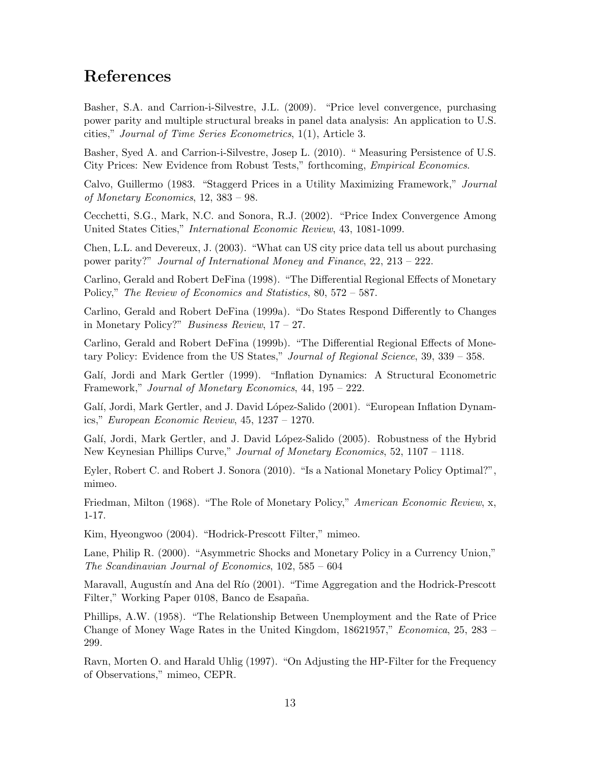### References

Basher, S.A. and Carrion-i-Silvestre, J.L. (2009). "Price level convergence, purchasing power parity and multiple structural breaks in panel data analysis: An application to U.S. cities," Journal of Time Series Econometrics, 1(1), Article 3.

Basher, Syed A. and Carrion-i-Silvestre, Josep L. (2010). " Measuring Persistence of U.S. City Prices: New Evidence from Robust Tests," forthcoming, Empirical Economics.

Calvo, Guillermo (1983. "Staggerd Prices in a Utility Maximizing Framework," Journal of Monetary Economics, 12, 383 – 98.

Cecchetti, S.G., Mark, N.C. and Sonora, R.J. (2002). "Price Index Convergence Among United States Cities," International Economic Review, 43, 1081-1099.

Chen, L.L. and Devereux, J. (2003). "What can US city price data tell us about purchasing power parity?" Journal of International Money and Finance, 22, 213 – 222.

Carlino, Gerald and Robert DeFina (1998). "The Differential Regional Effects of Monetary Policy," The Review of Economics and Statistics, 80, 572 – 587.

Carlino, Gerald and Robert DeFina (1999a). "Do States Respond Differently to Changes in Monetary Policy?" Business Review,  $17 - 27$ .

Carlino, Gerald and Robert DeFina (1999b). "The Differential Regional Effects of Monetary Policy: Evidence from the US States," Journal of Regional Science, 39, 339 - 358.

Gal´ı, Jordi and Mark Gertler (1999). "Inflation Dynamics: A Structural Econometric Framework," Journal of Monetary Economics, 44, 195 – 222.

Galí, Jordi, Mark Gertler, and J. David López-Salido (2001). "European Inflation Dynamics," European Economic Review, 45, 1237 – 1270.

Galí, Jordi, Mark Gertler, and J. David López-Salido (2005). Robustness of the Hybrid New Keynesian Phillips Curve," Journal of Monetary Economics, 52, 1107 – 1118.

Eyler, Robert C. and Robert J. Sonora (2010). "Is a National Monetary Policy Optimal?", mimeo.

Friedman, Milton (1968). "The Role of Monetary Policy," American Economic Review, x, 1-17.

Kim, Hyeongwoo (2004). "Hodrick-Prescott Filter," mimeo.

Lane, Philip R. (2000). "Asymmetric Shocks and Monetary Policy in a Currency Union," The Scandinavian Journal of Economics, 102, 585 – 604

Maravall, Augustín and Ana del Río (2001). "Time Aggregation and the Hodrick-Prescott Filter," Working Paper 0108, Banco de Esapaña.

Phillips, A.W. (1958). "The Relationship Between Unemployment and the Rate of Price Change of Money Wage Rates in the United Kingdom, 18621957," Economica, 25, 283 – 299.

Ravn, Morten O. and Harald Uhlig (1997). "On Adjusting the HP-Filter for the Frequency of Observations," mimeo, CEPR.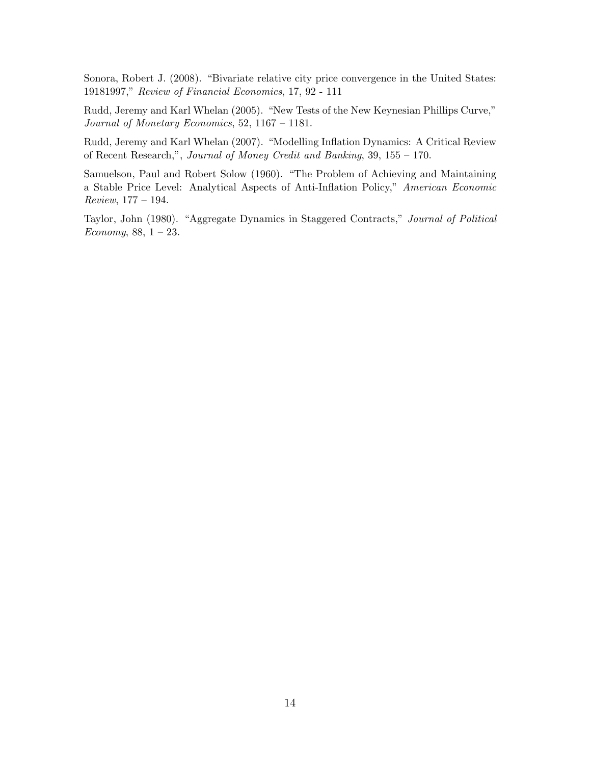Sonora, Robert J. (2008). "Bivariate relative city price convergence in the United States: 19181997," Review of Financial Economics, 17, 92 - 111

Rudd, Jeremy and Karl Whelan (2005). "New Tests of the New Keynesian Phillips Curve," Journal of Monetary Economics, 52, 1167 – 1181.

Rudd, Jeremy and Karl Whelan (2007). "Modelling Inflation Dynamics: A Critical Review of Recent Research,", Journal of Money Credit and Banking, 39, 155 – 170.

Samuelson, Paul and Robert Solow (1960). "The Problem of Achieving and Maintaining a Stable Price Level: Analytical Aspects of Anti-Inflation Policy," American Economic Review, 177 – 194.

Taylor, John (1980). "Aggregate Dynamics in Staggered Contracts," Journal of Political Economy,  $88, 1 - 23$ .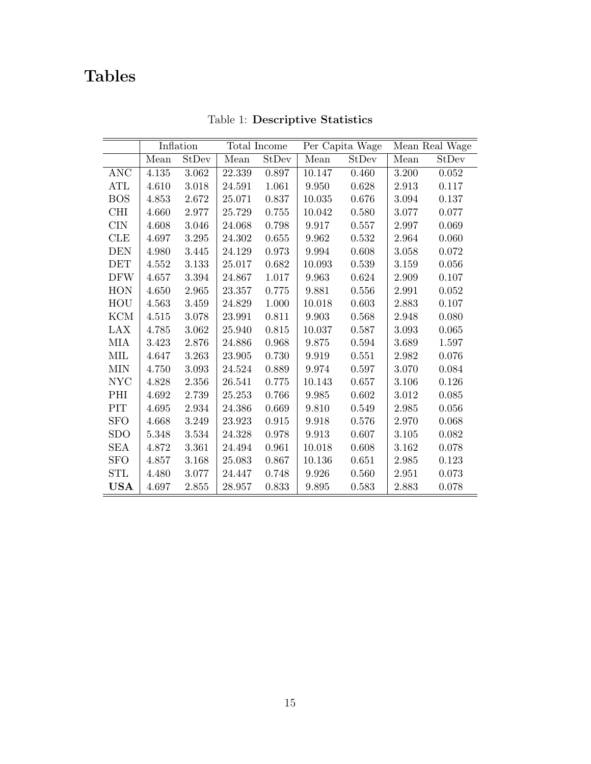## Tables

ł,

|            | Inflation |           | Total Income |       | Per Capita Wage |       | Mean Real Wage |       |
|------------|-----------|-----------|--------------|-------|-----------------|-------|----------------|-------|
|            | Mean      | StDev     | Mean         | StDev | Mean            | StDev | Mean           | StDev |
| <b>ANC</b> | 4.135     | 3.062     | 22.339       | 0.897 | 10.147          | 0.460 | 3.200          | 0.052 |
| ATL        | 4.610     | 3.018     | 24.591       | 1.061 | 9.950           | 0.628 | 2.913          | 0.117 |
| <b>BOS</b> | 4.853     | 2.672     | 25.071       | 0.837 | 10.035          | 0.676 | 3.094          | 0.137 |
| <b>CHI</b> | 4.660     | 2.977     | 25.729       | 0.755 | 10.042          | 0.580 | 3.077          | 0.077 |
| <b>CIN</b> | 4.608     | 3.046     | 24.068       | 0.798 | 9.917           | 0.557 | 2.997          | 0.069 |
| CLE        | 4.697     | 3.295     | 24.302       | 0.655 | 9.962           | 0.532 | 2.964          | 0.060 |
| <b>DEN</b> | 4.980     | 3.445     | 24.129       | 0.973 | 9.994           | 0.608 | 3.058          | 0.072 |
| <b>DET</b> | 4.552     | 3.133     | 25.017       | 0.682 | 10.093          | 0.539 | 3.159          | 0.056 |
| <b>DFW</b> | 4.657     | 3.394     | 24.867       | 1.017 | 9.963           | 0.624 | 2.909          | 0.107 |
| <b>HON</b> | 4.650     | 2.965     | 23.357       | 0.775 | 9.881           | 0.556 | 2.991          | 0.052 |
| HOU        | 4.563     | 3.459     | 24.829       | 1.000 | 10.018          | 0.603 | 2.883          | 0.107 |
| <b>KCM</b> | 4.515     | 3.078     | 23.991       | 0.811 | 9.903           | 0.568 | 2.948          | 0.080 |
| LAX        | 4.785     | 3.062     | 25.940       | 0.815 | 10.037          | 0.587 | 3.093          | 0.065 |
| MIA        | 3.423     | 2.876     | 24.886       | 0.968 | 9.875           | 0.594 | 3.689          | 1.597 |
| MIL        | 4.647     | 3.263     | 23.905       | 0.730 | 9.919           | 0.551 | 2.982          | 0.076 |
| <b>MIN</b> | 4.750     | 3.093     | 24.524       | 0.889 | 9.974           | 0.597 | 3.070          | 0.084 |
| <b>NYC</b> | 4.828     | 2.356     | 26.541       | 0.775 | 10.143          | 0.657 | 3.106          | 0.126 |
| PHI        | 4.692     | 2.739     | 25.253       | 0.766 | 9.985           | 0.602 | 3.012          | 0.085 |
| PIT        | 4.695     | 2.934     | 24.386       | 0.669 | 9.810           | 0.549 | 2.985          | 0.056 |
| <b>SFO</b> | 4.668     | 3.249     | 23.923       | 0.915 | 9.918           | 0.576 | 2.970          | 0.068 |
| <b>SDO</b> | 5.348     | 3.534     | 24.328       | 0.978 | 9.913           | 0.607 | 3.105          | 0.082 |
| <b>SEA</b> | 4.872     | 3.361     | 24.494       | 0.961 | 10.018          | 0.608 | 3.162          | 0.078 |
| <b>SFO</b> | 4.857     | 3.168     | 25.083       | 0.867 | 10.136          | 0.651 | 2.985          | 0.123 |
| STL        | 4.480     | 3.077     | 24.447       | 0.748 | 9.926           | 0.560 | 2.951          | 0.073 |
| <b>USA</b> | 4.697     | $2.855\,$ | 28.957       | 0.833 | 9.895           | 0.583 | 2.883          | 0.078 |

Table 1: Descriptive Statistics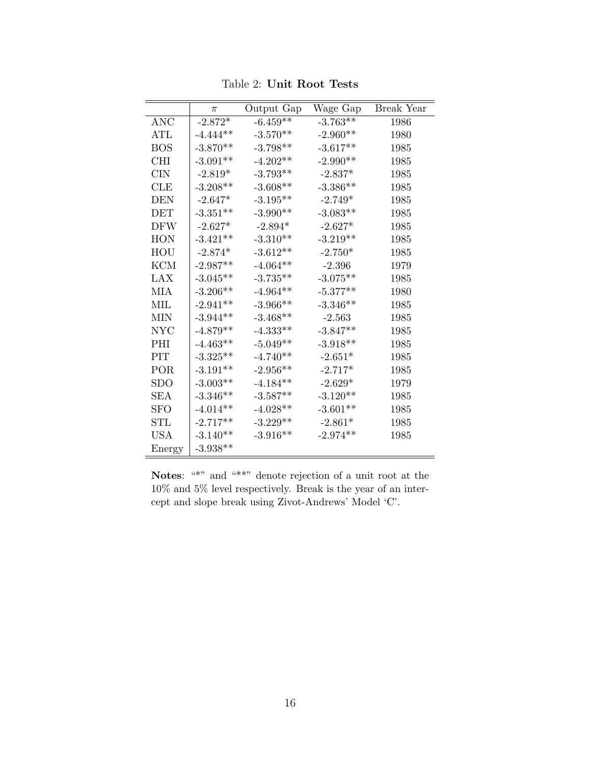|             | π                        | Output Gap                               | Wage Gap   | Break Year |
|-------------|--------------------------|------------------------------------------|------------|------------|
| <b>ANC</b>  | $-2.872*$                | $-6.459**$                               | $-3.763**$ | 1986       |
| $\rm {ATL}$ | $-4.444**$               | $-3.570**$                               | $-2.960**$ | 1980       |
| <b>BOS</b>  | $-3.870**$               | $-3.798**$                               | $-3.617**$ | 1985       |
| <b>CHI</b>  | $-3.091**$               | $-4.202**$                               | $-2.990**$ | 1985       |
| <b>CIN</b>  | $\textbf{-2.819}^{\ast}$ | $-3.793**$                               | $-2.837*$  | 1985       |
| <b>CLE</b>  | $-3.208**$               | $-3.608**$                               | $-3.386**$ | 1985       |
| <b>DEN</b>  | $-2.647*$                | $-3.195**$                               | $-2.749*$  | 1985       |
| DET         | $-3.351**$               | $-3.990**$                               | $-3.083**$ | 1985       |
| <b>DFW</b>  | $-2.627*$                | $-2.894*$                                | $-2.627*$  | 1985       |
| <b>HON</b>  | $-3.421**$               | $\textbf{-3.310}^{\textbf{\texttt{**}}}$ | $-3.219**$ | 1985       |
| HOU         | $-2.874*$                | $-3.612**$                               | $-2.750*$  | 1985       |
| <b>KCM</b>  | $-2.987**$               | $-4.064**$                               | $-2.396$   | 1979       |
| LAX         | $-3.045^{\ast\ast}$      | $-3.735**$                               | $-3.075**$ | 1985       |
| <b>MIA</b>  | $-3.206**$               | $-4.964**$                               | $-5.377**$ | 1980       |
| <b>MIL</b>  | $-2.941**$               | $-3.966**$                               | $-3.346**$ | 1985       |
| MIN         | $-3.944**$               | $-3.468**$                               | $-2.563$   | 1985       |
| <b>NYC</b>  | $-4.879**$               | $-4.333**$                               | $-3.847**$ | 1985       |
| PHI         | $-4.463**$               | $-5.049**$                               | $-3.918**$ | 1985       |
| PIT         | $-3.325**$               | $-4.740**$                               | $-2.651*$  | 1985       |
| POR         | $-3.191**$               | $-2.956**$                               | $-2.717*$  | 1985       |
| <b>SDO</b>  | $-3.003**$               | $-4.184**$                               | $-2.629*$  | 1979       |
| SEA         | $-3.346**$               | $-3.587**$                               | $-3.120**$ | 1985       |
| <b>SFO</b>  | $-4.014**$               | $-4.028**$                               | $-3.601**$ | 1985       |
| <b>STL</b>  | $-2.717**$               | $-3.229**$                               | $-2.861*$  | 1985       |
| <b>USA</b>  | $-3.140**$               | $-3.916**$                               | $-2.974**$ | 1985       |
| Energy      | $-3.938**$               |                                          |            |            |

Table 2: Unit Root Tests

Notes: "\*" and "\*\*" denote rejection of a unit root at the  $10\%$  and  $5\%$  level respectively. Break is the year of an intercept and slope break using Zivot-Andrews' Model 'C'.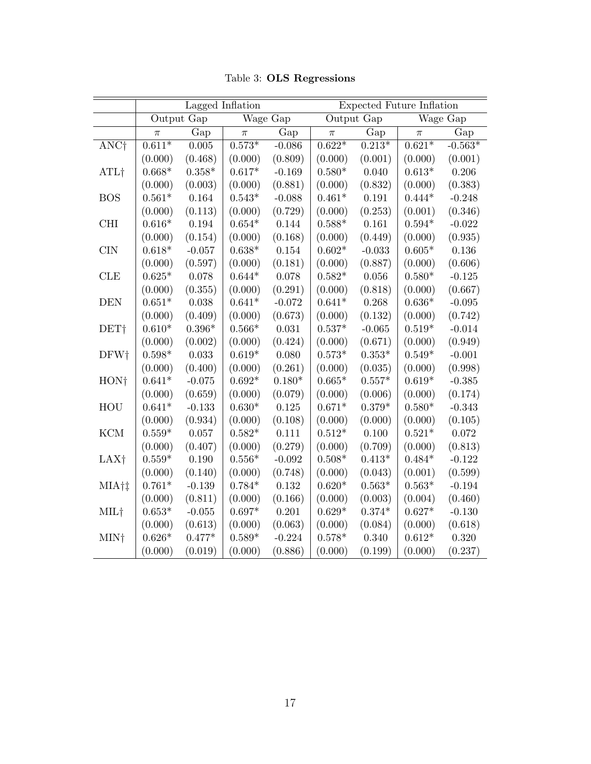|                  |                | Lagged Inflation |                |             | Expected Future Inflation |                |                |           |  |
|------------------|----------------|------------------|----------------|-------------|---------------------------|----------------|----------------|-----------|--|
|                  |                | Output Gap       |                | Wage Gap    |                           | Output Gap     |                | Wage Gap  |  |
|                  | $\pi$          | Gap              | $\pi$          | Gap         | $\pi$                     | Gap            | $\pi$          | Gap       |  |
| ANC <sup>†</sup> | $0.611*$       | 0.005            | $0.573*$       | $-0.086$    | $0.622*$                  | $0.213*$       | $0.621*$       | $-0.563*$ |  |
|                  | (0.000)        | (0.468)          | (0.000)        | (0.809)     | (0.000)                   | (0.001)        | (0.000)        | (0.001)   |  |
| ATL <sup>†</sup> | $0.668*$       | $0.358^{\ast}$   | $0.617*$       | $-0.169$    | $0.580*$                  | 0.040          | $0.613*$       | 0.206     |  |
|                  | (0.000)        | (0.003)          | (0.000)        | (0.881)     | (0.000)                   | (0.832)        | (0.000)        | (0.383)   |  |
| <b>BOS</b>       | $0.561*$       | $\,0.164\,$      | $0.543^{\ast}$ | $-0.088$    | $0.461*$                  | $0.191\,$      | $0.444*$       | $-0.248$  |  |
|                  | (0.000)        | (0.113)          | (0.000)        | (0.729)     | (0.000)                   | (0.253)        | (0.001)        | (0.346)   |  |
| <b>CHI</b>       | $0.616*$       | $\,0.194\,$      | $0.654^{\ast}$ | 0.144       | $0.588*$                  | 0.161          | $0.594^{\ast}$ | $-0.022$  |  |
|                  | (0.000)        | (0.154)          | (0.000)        | (0.168)     | (0.000)                   | (0.449)        | (0.000)        | (0.935)   |  |
| <b>CIN</b>       | $0.618*$       | $-0.057$         | $0.638*$       | $0.154\,$   | $0.602*$                  | $-0.033$       | $0.605*$       | $0.136\,$ |  |
|                  | (0.000)        | (0.597)          | (0.000)        | (0.181)     | (0.000)                   | (0.887)        | (0.000)        | (0.606)   |  |
| CLE              | $0.625*$       | 0.078            | $0.644*$       | 0.078       | $0.582*$                  | $0.056\,$      | $0.580*$       | $-0.125$  |  |
|                  | (0.000)        | (0.355)          | (0.000)        | (0.291)     | (0.000)                   | (0.818)        | (0.000)        | (0.667)   |  |
| <b>DEN</b>       | $0.651*$       | 0.038            | $0.641*$       | $-0.072$    | $0.641*$                  | 0.268          | $0.636*$       | $-0.095$  |  |
|                  | (0.000)        | (0.409)          | (0.000)        | (0.673)     | (0.000)                   | (0.132)        | (0.000)        | (0.742)   |  |
| DET <sub>†</sub> | $0.610^{\ast}$ | $0.396^{\ast}$   | $0.566^{\ast}$ | $\,0.031\,$ | $0.537^{\ast}$            | $-0.065$       | $0.519^{\ast}$ | $-0.014$  |  |
|                  | (0.000)        | (0.002)          | (0.000)        | (0.424)     | (0.000)                   | (0.671)        | (0.000)        | (0.949)   |  |
| DFW†             | $0.598^{\ast}$ | $\,0.033\,$      | $0.619*$       | 0.080       | $0.573^{\ast}$            | $0.353*$       | $0.549^{\ast}$ | $-0.001$  |  |
|                  | (0.000)        | (0.400)          | (0.000)        | (0.261)     | (0.000)                   | (0.035)        | (0.000)        | (0.998)   |  |
| HON <sup>+</sup> | $0.641*$       | $-0.075$         | $0.692*$       | $0.180*$    | $0.665*$                  | $0.557*$       | $0.619*$       | $-0.385$  |  |
|                  | (0.000)        | (0.659)          | (0.000)        | (0.079)     | (0.000)                   | (0.006)        | (0.000)        | (0.174)   |  |
| HOU              | $0.641*$       | $-0.133$         | $0.630*$       | $0.125\,$   | $0.671*$                  | $0.379*$       | $0.580*$       | $-0.343$  |  |
|                  | (0.000)        | (0.934)          | (0.000)        | (0.108)     | (0.000)                   | (0.000)        | (0.000)        | (0.105)   |  |
| <b>KCM</b>       | $0.559^{\ast}$ | 0.057            | $0.582*$       | 0.111       | $0.512*$                  | 0.100          | $0.521*$       | 0.072     |  |
|                  | (0.000)        | (0.407)          | (0.000)        | (0.279)     | (0.000)                   | (0.709)        | (0.000)        | (0.813)   |  |
| LAX <sup>†</sup> | $0.559^{\ast}$ | $0.190\,$        | $0.556^{\ast}$ | $-0.092$    | $0.508^{\ast}$            | $0.413^{\ast}$ | $0.484*$       | $-0.122$  |  |
|                  | (0.000)        | (0.140)          | (0.000)        | (0.748)     | (0.000)                   | (0.043)        | (0.001)        | (0.599)   |  |
| MIA†‡            | $0.761*$       | $-0.139$         | $0.784*$       | $0.132\,$   | $0.620*$                  | $0.563^{\ast}$ | $0.563^{\ast}$ | $-0.194$  |  |
|                  | (0.000)        | (0.811)          | (0.000)        | (0.166)     | (0.000)                   | (0.003)        | (0.004)        | (0.460)   |  |
| MIL†             | $0.653*$       | $-0.055$         | $0.697*$       | 0.201       | $0.629*$                  | $0.374*$       | $0.627*$       | $-0.130$  |  |
|                  | (0.000)        | (0.613)          | (0.000)        | (0.063)     | (0.000)                   | (0.084)        | (0.000)        | (0.618)   |  |
| MIN†             | $0.626*$       | $0.477^{\ast}$   | $0.589*$       | $-0.224$    | $0.578^{\ast}$            | 0.340          | $0.612*$       | 0.320     |  |
|                  | (0.000)        | (0.019)          | (0.000)        | (0.886)     | (0.000)                   | (0.199)        | (0.000)        | (0.237)   |  |

Table 3: OLS Regressions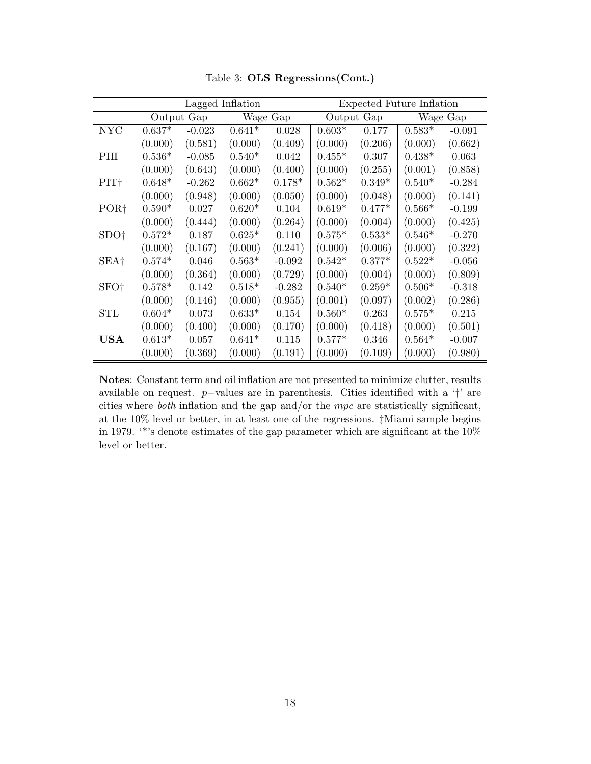|                  |          | Lagged Inflation |          |          | Expected Future Inflation |          |          |          |  |
|------------------|----------|------------------|----------|----------|---------------------------|----------|----------|----------|--|
|                  |          | Output Gap       | Wage Gap |          | Output Gap                |          | Wage Gap |          |  |
| <b>NYC</b>       | $0.637*$ | $-0.023$         | $0.641*$ | 0.028    | $0.603*$                  | 0.177    | $0.583*$ | $-0.091$ |  |
|                  | (0.000)  | (0.581)          | (0.000)  | (0.409)  | (0.000)                   | (0.206)  | (0.000)  | (0.662)  |  |
| PHI              | $0.536*$ | $-0.085$         | $0.540*$ | 0.042    | $0.455*$                  | 0.307    | $0.438*$ | 0.063    |  |
|                  | (0.000)  | (0.643)          | (0.000)  | (0.400)  | (0.000)                   | (0.255)  | (0.001)  | (0.858)  |  |
| PIT <sup>+</sup> | $0.648*$ | $-0.262$         | $0.662*$ | $0.178*$ | $0.562*$                  | $0.349*$ | $0.540*$ | $-0.284$ |  |
|                  | (0.000)  | (0.948)          | (0.000)  | (0.050)  | (0.000)                   | (0.048)  | (0.000)  | (0.141)  |  |
| POR <sup>+</sup> | $0.590*$ | 0.027            | $0.620*$ | 0.104    | $0.619*$                  | $0.477*$ | $0.566*$ | $-0.199$ |  |
|                  | (0.000)  | (0.444)          | (0.000)  | (0.264)  | (0.000)                   | (0.004)  | (0.000)  | (0.425)  |  |
| SDO†             | $0.572*$ | 0.187            | $0.625*$ | 0.110    | $0.575*$                  | $0.533*$ | $0.546*$ | $-0.270$ |  |
|                  | (0.000)  | (0.167)          | (0.000)  | (0.241)  | (0.000)                   | (0.006)  | (0.000)  | (0.322)  |  |
| SEA†             | $0.574*$ | 0.046            | $0.563*$ | $-0.092$ | $0.542*$                  | $0.377*$ | $0.522*$ | $-0.056$ |  |
|                  | (0.000)  | (0.364)          | (0.000)  | (0.729)  | (0.000)                   | (0.004)  | (0.000)  | (0.809)  |  |
| SFO <sup>+</sup> | $0.578*$ | 0.142            | $0.518*$ | $-0.282$ | $0.540*$                  | $0.259*$ | $0.506*$ | $-0.318$ |  |
|                  | (0.000)  | (0.146)          | (0.000)  | (0.955)  | (0.001)                   | (0.097)  | (0.002)  | (0.286)  |  |
| STL              | $0.604*$ | 0.073            | $0.633*$ | 0.154    | $0.560*$                  | 0.263    | $0.575*$ | 0.215    |  |
|                  | (0.000)  | (0.400)          | (0.000)  | (0.170)  | (0.000)                   | (0.418)  | (0.000)  | (0.501)  |  |
| <b>USA</b>       | $0.613*$ | 0.057            | $0.641*$ | 0.115    | $0.577*$                  | 0.346    | $0.564*$ | $-0.007$ |  |
|                  | (0.000)  | (0.369)          | (0.000)  | (0.191)  | (0.000)                   | (0.109)  | (0.000)  | (0.980)  |  |

Table 3: OLS Regressions(Cont.)

Notes: Constant term and oil inflation are not presented to minimize clutter, results available on request. p−values are in parenthesis. Cities identified with a '†' are cities where both inflation and the gap and/or the mpc are statistically significant, at the 10% level or better, in at least one of the regressions. ‡Miami sample begins in 1979. '\*'s denote estimates of the gap parameter which are significant at the  $10\%$ level or better.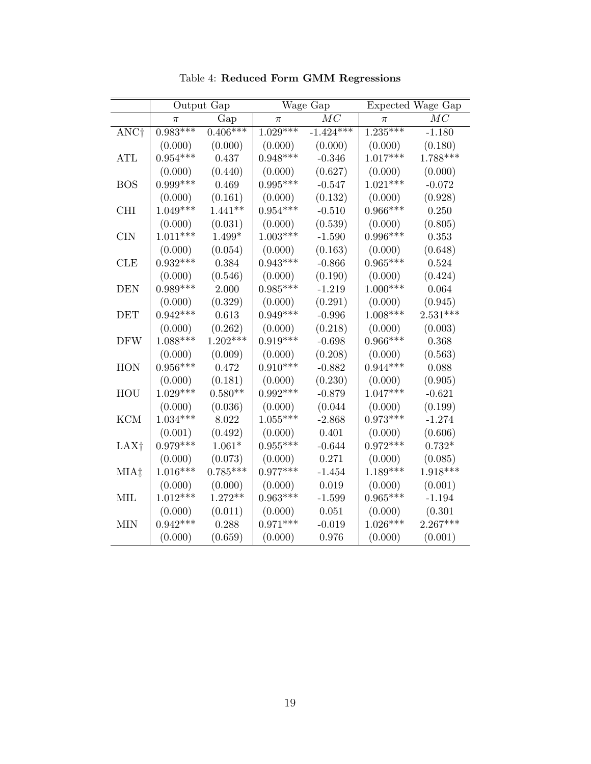|                  |            | Output Gap |            | Wage Gap    | Expected Wage Gap |            |  |
|------------------|------------|------------|------------|-------------|-------------------|------------|--|
|                  | π          | Gap        | $\pi$      | $\cal MC$   | $\pi$             | $\cal MC$  |  |
| ANC <sup>+</sup> | $0.983***$ | $0.406***$ | $1.029***$ | $-1.424***$ | $1.235***$        | $-1.180$   |  |
|                  | (0.000)    | (0.000)    | (0.000)    | (0.000)     | (0.000)           | (0.180)    |  |
| <b>ATL</b>       | $0.954***$ | 0.437      | $0.948***$ | $-0.346$    | $1.017***$        | $1.788***$ |  |
|                  | (0.000)    | (0.440)    | (0.000)    | (0.627)     | (0.000)           | (0.000)    |  |
| <b>BOS</b>       | $0.999***$ | 0.469      | $0.995***$ | $-0.547$    | $1.021***$        | $-0.072$   |  |
|                  | (0.000)    | (0.161)    | (0.000)    | (0.132)     | (0.000)           | (0.928)    |  |
| <b>CHI</b>       | $1.049***$ | $1.441**$  | $0.954***$ | $-0.510$    | $0.966***$        | 0.250      |  |
|                  | (0.000)    | (0.031)    | (0.000)    | (0.539)     | (0.000)           | (0.805)    |  |
| <b>CIN</b>       | $1.011***$ | $1.499*$   | $1.003***$ | $-1.590$    | $0.996***$        | 0.353      |  |
|                  | (0.000)    | (0.054)    | (0.000)    | (0.163)     | (0.000)           | (0.648)    |  |
| <b>CLE</b>       | $0.932***$ | 0.384      | $0.943***$ | $-0.866$    | $0.965***$        | 0.524      |  |
|                  | (0.000)    | (0.546)    | (0.000)    | (0.190)     | (0.000)           | (0.424)    |  |
| <b>DEN</b>       | $0.989***$ | 2.000      | $0.985***$ | $-1.219$    | $1.000***$        | 0.064      |  |
|                  | (0.000)    | (0.329)    | (0.000)    | (0.291)     | (0.000)           | (0.945)    |  |
| <b>DET</b>       | $0.942***$ | 0.613      | $0.949***$ | $-0.996$    | $1.008***$        | $2.531***$ |  |
|                  | (0.000)    | (0.262)    | (0.000)    | (0.218)     | (0.000)           | (0.003)    |  |
| <b>DFW</b>       | $1.088***$ | $1.202***$ | $0.919***$ | $-0.698$    | $0.966***$        | 0.368      |  |
|                  | (0.000)    | (0.009)    | (0.000)    | (0.208)     | (0.000)           | (0.563)    |  |
| HON              | $0.956***$ | 0.472      | $0.910***$ | $-0.882$    | $0.944***$        | 0.088      |  |
|                  | (0.000)    | (0.181)    | (0.000)    | (0.230)     | (0.000)           | (0.905)    |  |
| HOU              | $1.029***$ | $0.580**$  | $0.992***$ | $-0.879$    | $1.047***$        | $-0.621$   |  |
|                  | (0.000)    | (0.036)    | (0.000)    | (0.044)     | (0.000)           | (0.199)    |  |
| <b>KCM</b>       | $1.034***$ | 8.022      | $1.055***$ | $-2.868$    | $0.973***$        | $-1.274$   |  |
|                  | (0.001)    | (0.492)    | (0.000)    | 0.401       | (0.000)           | (0.606)    |  |
| LAX <sup>†</sup> | $0.979***$ | $1.061*$   | $0.955***$ | $-0.644$    | $0.972***$        | $0.732*$   |  |
|                  | (0.000)    | (0.073)    | (0.000)    | 0.271       | (0.000)           | (0.085)    |  |
| MIA‡             | $1.016***$ | $0.785***$ | $0.977***$ | $-1.454$    | $1.189***$        | $1.918***$ |  |
|                  | (0.000)    | (0.000)    | (0.000)    | $0.019\,$   | (0.000)           | (0.001)    |  |
| MIL              | $1.012***$ | $1.272**$  | $0.963***$ | $-1.599$    | $0.965***$        | $-1.194$   |  |
|                  | (0.000)    | (0.011)    | (0.000)    | $0.051\,$   | (0.000)           | (0.301)    |  |
| <b>MIN</b>       | $0.942***$ | 0.288      | $0.971***$ | $-0.019$    | $1.026***$        | $2.267***$ |  |
|                  | (0.000)    | (0.659)    | (0.000)    | 0.976       | (0.000)           | (0.001)    |  |

Table 4: Reduced Form GMM Regressions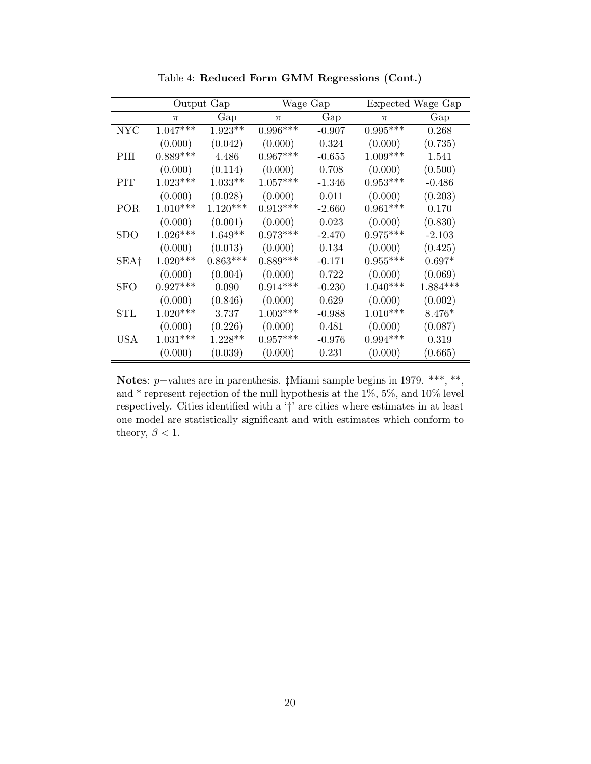|                  |            | Output Gap |            | Wage Gap | Expected Wage Gap |            |  |
|------------------|------------|------------|------------|----------|-------------------|------------|--|
|                  | $\pi$      | Gap        | $\pi$      | Gap      | $\pi$             | Gap        |  |
| <b>NYC</b>       | $1.047***$ | $1.923**$  | $0.996***$ | $-0.907$ | $0.995***$        | 0.268      |  |
|                  | (0.000)    | (0.042)    | (0.000)    | 0.324    | (0.000)           | (0.735)    |  |
| <b>PHI</b>       | $0.889***$ | 4.486      | $0.967***$ | $-0.655$ | $1.009***$        | 1.541      |  |
|                  | (0.000)    | (0.114)    | (0.000)    | 0.708    | (0.000)           | (0.500)    |  |
| <b>PIT</b>       | $1.023***$ | $1.033**$  | $1.057***$ | $-1.346$ | $0.953***$        | $-0.486$   |  |
|                  | (0.000)    | (0.028)    | (0.000)    | 0.011    | (0.000)           | (0.203)    |  |
| POR              | $1.010***$ | $1.120***$ | $0.913***$ | $-2.660$ | $0.961***$        | 0.170      |  |
|                  | (0.000)    | (0.001)    | (0.000)    | 0.023    | (0.000)           | (0.830)    |  |
| $_{\rm SDO}$     | $1.026***$ | $1.649**$  | $0.973***$ | $-2.470$ | $0.975***$        | $-2.103$   |  |
|                  | (0.000)    | (0.013)    | (0.000)    | 0.134    | (0.000)           | (0.425)    |  |
| SEA <sup>†</sup> | $1.020***$ | $0.863***$ | $0.889***$ | $-0.171$ | $0.955***$        | $0.697*$   |  |
|                  | (0.000)    | (0.004)    | (0.000)    | 0.722    | (0.000)           | (0.069)    |  |
| <b>SFO</b>       | $0.927***$ | 0.090      | $0.914***$ | $-0.230$ | $1.040***$        | $1.884***$ |  |
|                  | (0.000)    | (0.846)    | (0.000)    | 0.629    | (0.000)           | (0.002)    |  |
| STL              | $1.020***$ | 3.737      | $1.003***$ | $-0.988$ | $1.010***$        | $8.476*$   |  |
|                  | (0.000)    | (0.226)    | (0.000)    | 0.481    | (0.000)           | (0.087)    |  |
| <b>USA</b>       | $1.031***$ | $1.228**$  | $0.957***$ | $-0.976$ | $0.994***$        | 0.319      |  |
|                  | (0.000)    | (0.039)    | (0.000)    | 0.231    | (0.000)           | (0.665)    |  |

Table 4: Reduced Form GMM Regressions (Cont.)

Notes: *p*−values are in parenthesis. ‡Miami sample begins in 1979. \*\*\*, \*\*, and \* represent rejection of the null hypothesis at the 1%, 5%, and 10% level respectively. Cities identified with a '†' are cities where estimates in at least one model are statistically significant and with estimates which conform to theory,  $\beta<1.$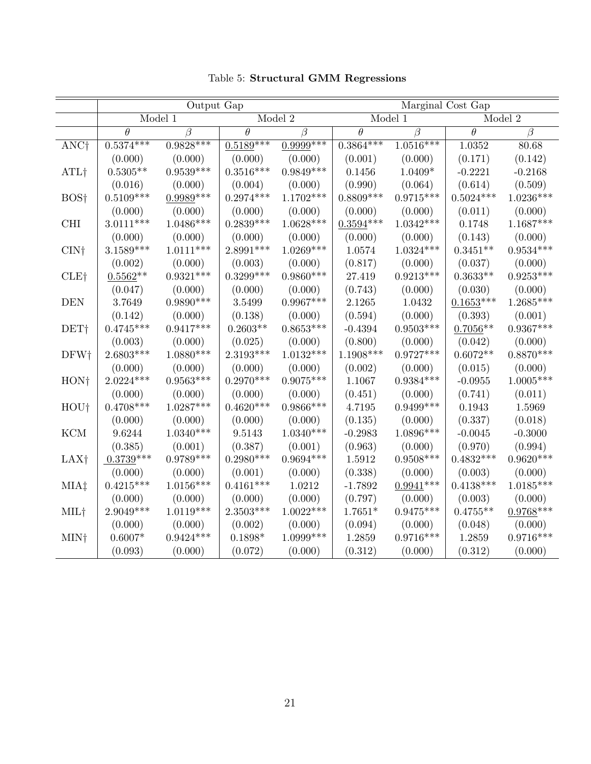|                  |             | Output Gap  |             |              | Marginal Cost Gap |             |                     |             |
|------------------|-------------|-------------|-------------|--------------|-------------------|-------------|---------------------|-------------|
|                  | Model 1     |             | Model $2$   |              | Model 1           |             | Model 2             |             |
|                  | $\theta$    | $\beta$     | $\theta$    | $\beta$      | $\theta$          | $\beta$     | $\overline{\theta}$ | $\beta$     |
| ANC <sup>†</sup> | $0.5374***$ | $0.9828***$ | $0.5189***$ | $0.9999$ *** | $0.3864***$       | $1.0516***$ | 1.0352              | 80.68       |
|                  | (0.000)     | (0.000)     | (0.000)     | (0.000)      | (0.001)           | (0.000)     | (0.171)             | (0.142)     |
| ATL <sup>†</sup> | $0.5305**$  | $0.9539***$ | $0.3516***$ | $0.9849***$  | 0.1456            | $1.0409*$   | $-0.2221$           | $-0.2168$   |
|                  | (0.016)     | (0.000)     | (0.004)     | (0.000)      | (0.990)           | (0.064)     | (0.614)             | (0.509)     |
| BOS <sup>†</sup> | $0.5109***$ | $0.9989***$ | $0.2974***$ | $1.1702***$  | $0.8809***$       | $0.9715***$ | $0.5024***$         | $1.0236***$ |
|                  | (0.000)     | (0.000)     | (0.000)     | (0.000)      | (0.000)           | (0.000)     | (0.011)             | (0.000)     |
| <b>CHI</b>       | $3.0111***$ | $1.0486***$ | $0.2839***$ | $1.0628***$  | $0.3594***$       | $1.0342***$ | 0.1748              | $1.1687***$ |
|                  | (0.000)     | (0.000)     | (0.000)     | (0.000)      | (0.000)           | (0.000)     | (0.143)             | (0.000)     |
| CIN <sub>†</sub> | $3.1589***$ | $1.0111***$ | $2.8991***$ | $1.0269***$  | 1.0574            | $1.0324***$ | $0.3451**$          | $0.9534***$ |
|                  | (0.002)     | (0.000)     | (0.003)     | (0.000)      | (0.817)           | (0.000)     | (0.037)             | (0.000)     |
| <b>CLE+</b>      | $0.5562**$  | $0.9321***$ | $0.3299***$ | $0.9860***$  | 27.419            | $0.9213***$ | $0.3633**$          | $0.9253***$ |
|                  | (0.047)     | (0.000)     | (0.000)     | (0.000)      | (0.743)           | (0.000)     | (0.030)             | (0.000)     |
| <b>DEN</b>       | 3.7649      | $0.9890***$ | 3.5499      | $0.9967***$  | 2.1265            | 1.0432      | $0.1653***$         | $1.2685***$ |
|                  | (0.142)     | (0.000)     | (0.138)     | (0.000)      | (0.594)           | (0.000)     | (0.393)             | (0.001)     |
| DET <sup>†</sup> | $0.4745***$ | $0.9417***$ | $0.2603**$  | $0.8653***$  | $-0.4394$         | $0.9503***$ | $0.7056**$          | $0.9367***$ |
|                  | (0.003)     | (0.000)     | (0.025)     | (0.000)      | (0.800)           | (0.000)     | (0.042)             | (0.000)     |
| DFW†             | $2.6803***$ | $1.0880***$ | 2.3193***   | $1.0132***$  | 1.1908***         | $0.9727***$ | $0.6072**$          | $0.8870***$ |
|                  | (0.000)     | (0.000)     | (0.000)     | (0.000)      | (0.002)           | (0.000)     | (0.015)             | (0.000)     |
| HON <sub>†</sub> | $2.0224***$ | $0.9563***$ | $0.2970***$ | $0.9075***$  | $1.1067\,$        | $0.9384***$ | $-0.0955$           | $1.0005***$ |
|                  | (0.000)     | (0.000)     | (0.000)     | (0.000)      | (0.451)           | (0.000)     | (0.741)             | (0.011)     |
| HOU†             | $0.4708***$ | $1.0287***$ | $0.4620***$ | $0.9866***$  | 4.7195            | $0.9499***$ | 0.1943              | 1.5969      |
|                  | (0.000)     | (0.000)     | (0.000)     | (0.000)      | (0.135)           | (0.000)     | (0.337)             | (0.018)     |
| <b>KCM</b>       | 9.6244      | $1.0340***$ | 9.5143      | $1.0340***$  | $-0.2983$         | 1.0896***   | $-0.0045$           | $-0.3000$   |
|                  | (0.385)     | (0.001)     | (0.387)     | (0.001)      | (0.963)           | (0.000)     | (0.970)             | (0.994)     |
| LAX <sup>†</sup> | $0.3739***$ | $0.9789***$ | $0.2980***$ | $0.9694***$  | 1.5912            | $0.9508***$ | $0.4832***$         | $0.9620***$ |
|                  | (0.000)     | (0.000)     | (0.001)     | (0.000)      | (0.338)           | (0.000)     | (0.003)             | (0.000)     |
| MIA‡             | $0.4215***$ | $1.0156***$ | $0.4161***$ | 1.0212       | $-1.7892$         | $0.9941***$ | $0.4138***$         | $1.0185***$ |
|                  | (0.000)     | (0.000)     | (0.000)     | (0.000)      | (0.797)           | (0.000)     | (0.003)             | (0.000)     |
| MIL†             | $2.9049***$ | $1.0119***$ | $2.3503***$ | $1.0022***$  | $1.7651*$         | $0.9475***$ | $0.4755**$          | $0.9768***$ |
|                  | (0.000)     | (0.000)     | (0.002)     | (0.000)      | (0.094)           | (0.000)     | (0.048)             | (0.000)     |
| MIN†             | $0.6007*$   | $0.9424***$ | $0.1898*$   | $1.0999***$  | 1.2859            | $0.9716***$ | 1.2859              | $0.9716***$ |
|                  | (0.093)     | (0.000)     | (0.072)     | (0.000)      | (0.312)           | (0.000)     | (0.312)             | (0.000)     |

Table 5: Structural GMM Regressions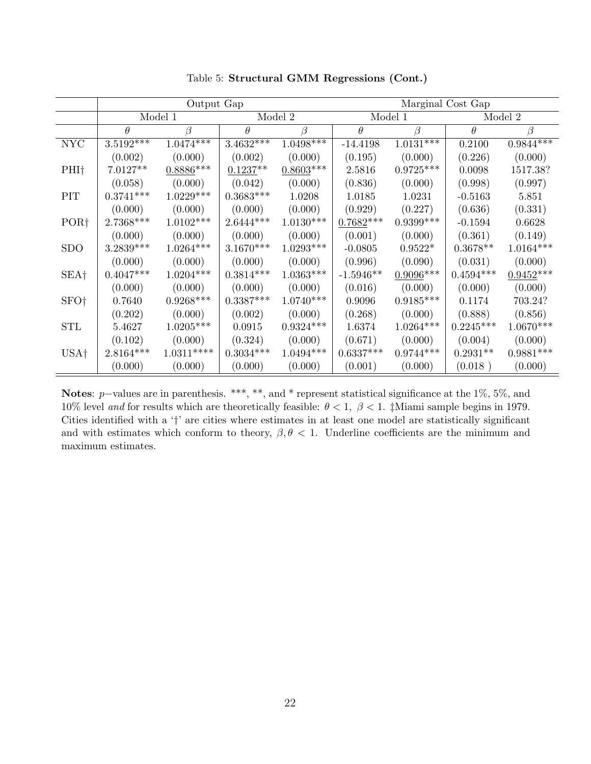|                           |             | Output Gap  |             |             | Marginal Cost Gap |             |                     |             |  |
|---------------------------|-------------|-------------|-------------|-------------|-------------------|-------------|---------------------|-------------|--|
|                           |             | Model 1     | Model 2     |             |                   | Model 1     |                     | Model 2     |  |
|                           | $\theta$    | B           | $\theta$    | $\beta$     | $\theta$          | $\beta$     | $\theta$            | β           |  |
| $\ensuremath{\text{NYC}}$ | $3.5192***$ | $1.0474***$ | $3.4632***$ | $1.0498***$ | $-14.4198$        | $1.0131***$ | 0.2100              | $0.9844***$ |  |
|                           | (0.002)     | (0.000)     | (0.002)     | (0.000)     | (0.195)           | (0.000)     | (0.226)             | (0.000)     |  |
| $PHI+$                    | $7.0127**$  | $0.8886***$ | $0.1237**$  | $0.8603***$ | 2.5816            | $0.9725***$ | 0.0098              | 1517.38?    |  |
|                           | (0.058)     | (0.000)     | (0.042)     | (0.000)     | (0.836)           | (0.000)     | (0.998)             | (0.997)     |  |
| PIT                       | $0.3741***$ | $1.0229***$ | $0.3683***$ | 1.0208      | 1.0185            | 1.0231      | $-0.5163$           | 5.851       |  |
|                           | (0.000)     | (0.000)     | (0.000)     | (0.000)     | (0.929)           | (0.227)     | (0.636)             | (0.331)     |  |
| POR <sub>1</sub>          | $2.7368***$ | $1.0102***$ | $2.6444***$ | $1.0130***$ | $0.7682***$       | $0.9399***$ | $-0.1594$           | 0.6628      |  |
|                           | (0.000)     | (0.000)     | (0.000)     | (0.000)     | (0.001)           | (0.000)     | (0.361)             | (0.149)     |  |
| <b>SDO</b>                | $3.2839***$ | $1.0264***$ | $3.1670***$ | $1.0293***$ | $-0.0805$         | $0.9522*$   | $0.3678^{\ast\ast}$ | $1.0164***$ |  |
|                           | (0.000)     | (0.000)     | (0.000)     | (0.000)     | (0.996)           | (0.090)     | (0.031)             | (0.000)     |  |
| SEA <sup>†</sup>          | $0.4047***$ | $1.0204***$ | $0.3814***$ | $1.0363***$ | $-1.5946**$       | $0.9096***$ | $0.4594***$         | $0.9452***$ |  |
|                           | (0.000)     | (0.000)     | (0.000)     | (0.000)     | (0.016)           | (0.000)     | (0.000)             | (0.000)     |  |
| SFO <sup>†</sup>          | 0.7640      | $0.9268***$ | $0.3387***$ | $1.0740***$ | 0.9096            | $0.9185***$ | 0.1174              | 703.24?     |  |
|                           | (0.202)     | (0.000)     | (0.002)     | (0.000)     | (0.268)           | (0.000)     | (0.888)             | (0.856)     |  |
| <b>STL</b>                | 5.4627      | $1.0205***$ | 0.0915      | $0.9324***$ | 1.6374            | $1.0264***$ | $0.2245***$         | $1.0670***$ |  |
|                           | (0.102)     | (0.000)     | (0.324)     | (0.000)     | (0.671)           | (0.000)     | (0.004)             | (0.000)     |  |
| USA <sub>†</sub>          | $2.8164***$ | $1.0311***$ | $0.3034***$ | $1.0494***$ | $0.6337***$       | $0.9744***$ | $0.2931**$          | $0.9881***$ |  |
|                           | (0.000)     | (0.000)     | (0.000)     | (0.000)     | (0.001)           | (0.000)     | (0.018)             | (0.000)     |  |

Table 5: Structural GMM Regressions (Cont.)

Notes: p–values are in parenthesis. \*\*\*, \*\*, and \* represent statistical significance at the 1%, 5%, and 10% level and for results which are theoretically feasible:  $\theta < 1$ ,  $\beta < 1$ . ‡Miami sample begins in 1979. Cities identified with a '†' are cities where estimates in at least one model are statistically significant and with estimates which conform to theory,  $\beta$ ,  $\theta$  < 1. Underline coefficients are the minimum and maximum estimates.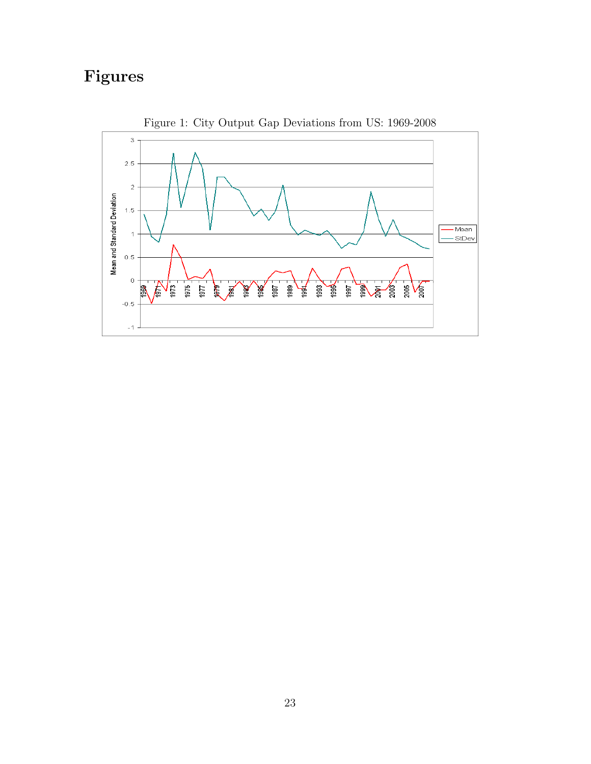# Figures



Figure 1: City Output Gap Deviations from US: 1969-2008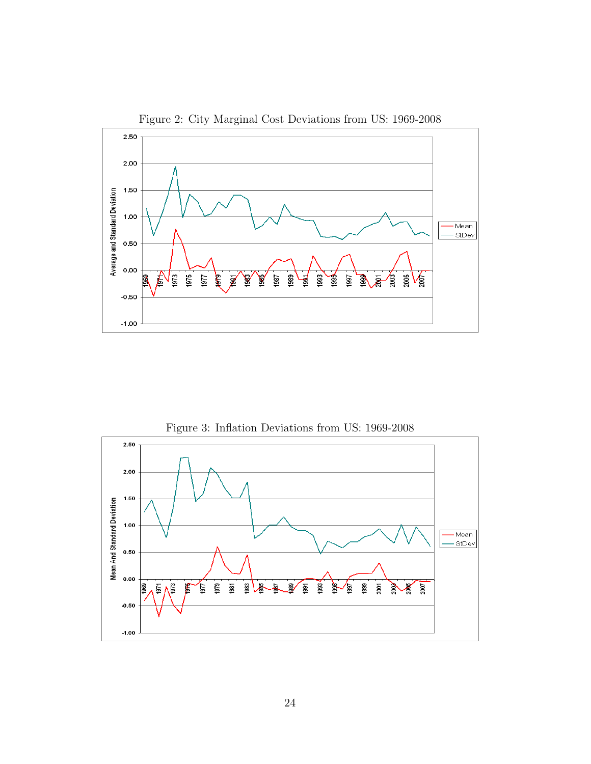

Figure 2: City Marginal Cost Deviations from US: 1969-2008